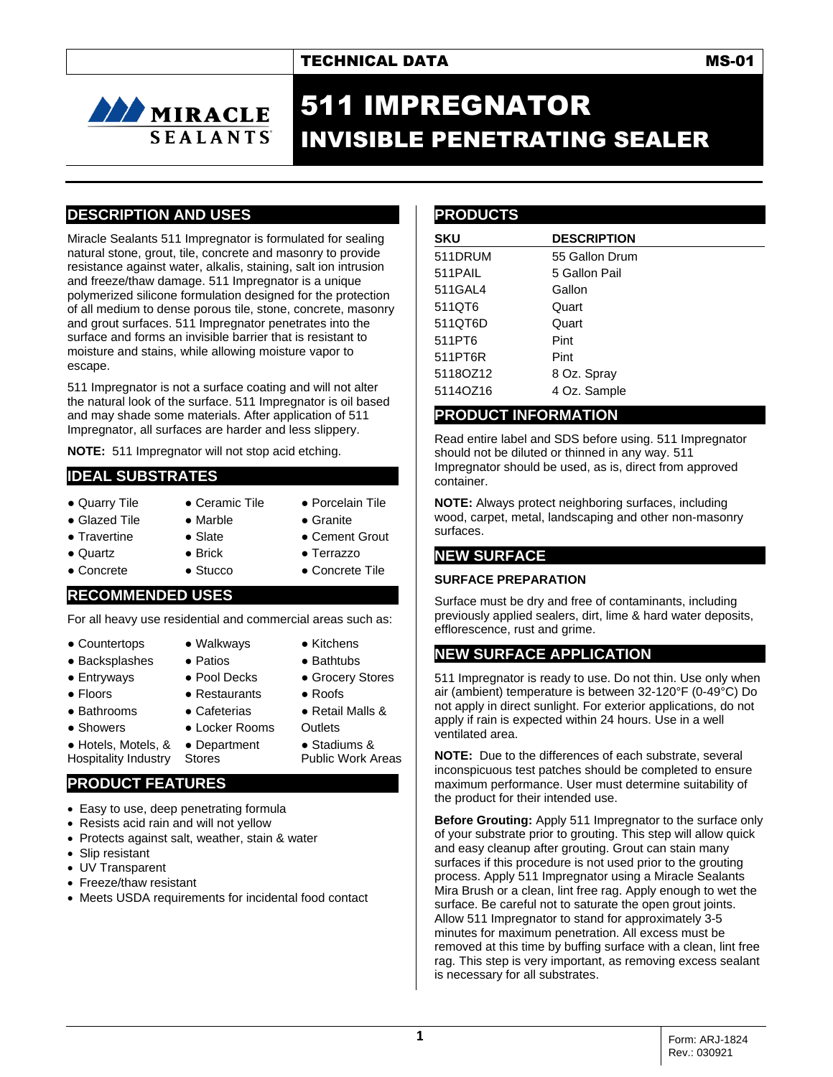## TECHNICAL DATA MS-01

# **AN MIRACLE SEALANTS**

# 511 IMPREGNATOR INVISIBLE PENETRATING SEALER

### **DESCRIPTION AND USES**

Miracle Sealants 511 Impregnator is formulated for sealing natural stone, grout, tile, concrete and masonry to provide resistance against water, alkalis, staining, salt ion intrusion and freeze/thaw damage. 511 Impregnator is a unique polymerized silicone formulation designed for the protection of all medium to dense porous tile, stone, concrete, masonry and grout surfaces. 511 Impregnator penetrates into the surface and forms an invisible barrier that is resistant to moisture and stains, while allowing moisture vapor to escape.

511 Impregnator is not a surface coating and will not alter the natural look of the surface. 511 Impregnator is oil based and may shade some materials. After application of 511 Impregnator, all surfaces are harder and less slippery.

**NOTE:** 511 Impregnator will not stop acid etching.

### **IDEAL SUBSTRATES**

- 
- Quarry Tile Ceramic Tile Porcelain Tile
- Glazed Tile Marble Granite
	-
- Travertine Slate ● Cement Grout
- Quartz Brick Terrazzo
	-
- 
- Concrete Stucco Concrete Tile
- 

#### **RECOMMENDED USES**

For all heavy use residential and commercial areas such as:

- Countertops Walkways Kitchens
- Backsplashes Patios Bathtubs
- Entryways Pool Decks Grocery Stores
- Floors Restaurants Roofs
- 
- 
- Showers Locker Rooms Outlets
	- Stadiums &

Public Work Areas

● Hotels, Motels, & Hospitality Industry ● Department Stores

# **PRODUCT FEATURES**

- Easy to use, deep penetrating formula
- Resists acid rain and will not yellow
- Protects against salt, weather, stain & water
- Slip resistant
- UV Transparent
- Freeze/thaw resistant
- Meets USDA requirements for incidental food contact

### **PRODUCTS**

| <b>SKU</b> | <b>DESCRIPTION</b> |
|------------|--------------------|
| 511DRUM    | 55 Gallon Drum     |
| 511PAIL    | 5 Gallon Pail      |
| 511GAL4    | Gallon             |
| 511QT6     | Quart              |
| 511QT6D    | Quart              |
| 511PT6     | Pint               |
| 511PT6R    | Pint               |
| 5118OZ12   | 8 Oz. Spray        |
| 5114OZ16   | 4 Oz. Sample       |

## **PRODUCT INFORMATION**

Read entire label and SDS before using. 511 Impregnator should not be diluted or thinned in any way. 511 Impregnator should be used, as is, direct from approved container.

**NOTE:** Always protect neighboring surfaces, including wood, carpet, metal, landscaping and other non-masonry surfaces.

### **NEW SURFACE**

#### **SURFACE PREPARATION**

Surface must be dry and free of contaminants, including previously applied sealers, dirt, lime & hard water deposits, efflorescence, rust and grime.

### **NEW SURFACE APPLICATION**

511 Impregnator is ready to use. Do not thin. Use only when air (ambient) temperature is between 32-120°F (0-49°C) Do not apply in direct sunlight. For exterior applications, do not apply if rain is expected within 24 hours. Use in a well ventilated area.

**NOTE:** Due to the differences of each substrate, several inconspicuous test patches should be completed to ensure maximum performance. User must determine suitability of the product for their intended use.

**Before Grouting:** Apply 511 Impregnator to the surface only of your substrate prior to grouting. This step will allow quick and easy cleanup after grouting. Grout can stain many surfaces if this procedure is not used prior to the grouting process. Apply 511 Impregnator using a Miracle Sealants Mira Brush or a clean, lint free rag. Apply enough to wet the surface. Be careful not to saturate the open grout joints. Allow 511 Impregnator to stand for approximately 3-5 minutes for maximum penetration. All excess must be removed at this time by buffing surface with a clean, lint free rag. This step is very important, as removing excess sealant is necessary for all substrates.

● Bathrooms ● Cafeterias ● Retail Malls &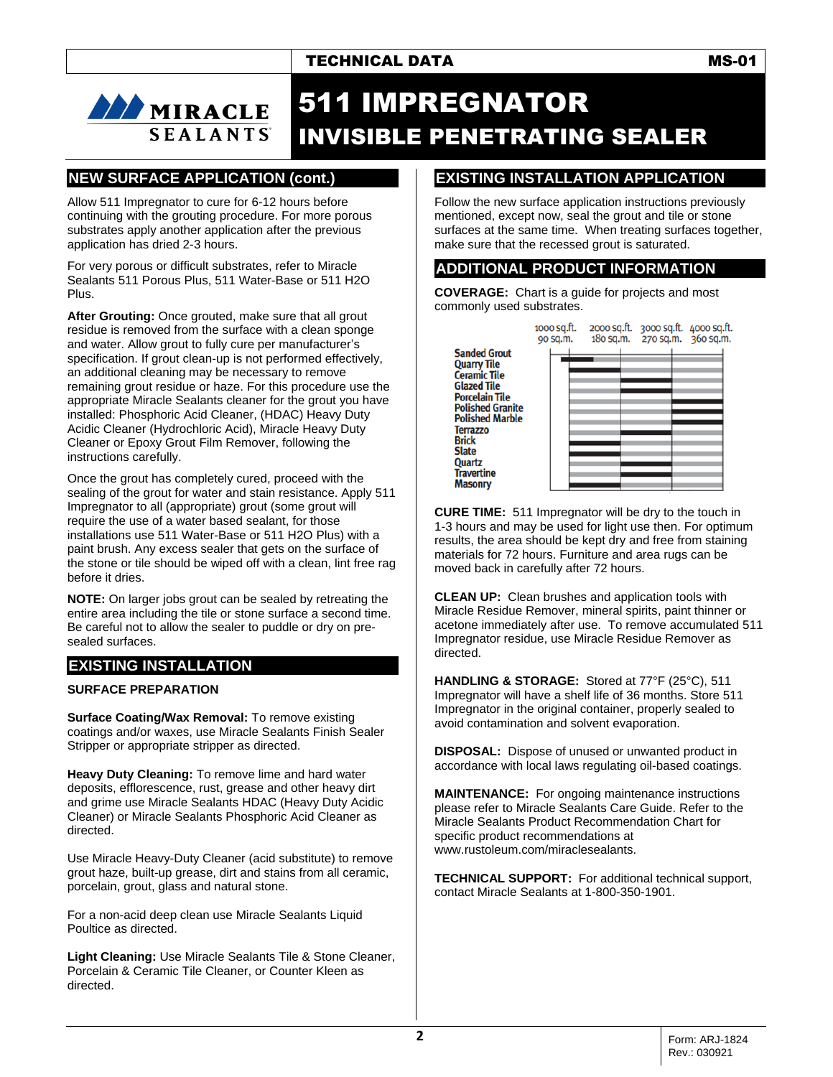# 511 IMPREGNATOR INVISIBLE PENETRATING SEALER

**Brick Slate** 

# **NEW SURFACE APPLICATION (cont.)**

**SEALANTS** 

**AND MIRACLE** 

Allow 511 Impregnator to cure for 6-12 hours before continuing with the grouting procedure. For more porous substrates apply another application after the previous application has dried 2-3 hours.

For very porous or difficult substrates, refer to Miracle Sealants 511 Porous Plus, 511 Water-Base or 511 H2O Plus.

**After Grouting:** Once grouted, make sure that all grout residue is removed from the surface with a clean sponge and water. Allow grout to fully cure per manufacturer's specification. If grout clean-up is not performed effectively, an additional cleaning may be necessary to remove remaining grout residue or haze. For this procedure use the appropriate Miracle Sealants cleaner for the grout you have installed: Phosphoric Acid Cleaner, (HDAC) Heavy Duty Acidic Cleaner (Hydrochloric Acid), Miracle Heavy Duty Cleaner or Epoxy Grout Film Remover, following the instructions carefully.

Once the grout has completely cured, proceed with the sealing of the grout for water and stain resistance. Apply 511 Impregnator to all (appropriate) grout (some grout will require the use of a water based sealant, for those installations use 511 Water-Base or 511 H2O Plus) with a paint brush. Any excess sealer that gets on the surface of the stone or tile should be wiped off with a clean, lint free rag before it dries.

**NOTE:** On larger jobs grout can be sealed by retreating the entire area including the tile or stone surface a second time. Be careful not to allow the sealer to puddle or dry on presealed surfaces.

# **EXISTING INSTALLATION**

#### **SURFACE PREPARATION**

**Surface Coating/Wax Removal:** To remove existing coatings and/or waxes, use Miracle Sealants Finish Sealer Stripper or appropriate stripper as directed.

**Heavy Duty Cleaning:** To remove lime and hard water deposits, efflorescence, rust, grease and other heavy dirt and grime use Miracle Sealants HDAC (Heavy Duty Acidic Cleaner) or Miracle Sealants Phosphoric Acid Cleaner as directed.

Use Miracle Heavy-Duty Cleaner (acid substitute) to remove grout haze, built-up grease, dirt and stains from all ceramic, porcelain, grout, glass and natural stone.

For a non-acid deep clean use Miracle Sealants Liquid Poultice as directed.

**Light Cleaning:** Use Miracle Sealants Tile & Stone Cleaner, Porcelain & Ceramic Tile Cleaner, or Counter Kleen as directed.

# **EXISTING INSTALLATION APPLICATION**

Follow the new surface application instructions previously mentioned, except now, seal the grout and tile or stone surfaces at the same time. When treating surfaces together, make sure that the recessed grout is saturated.

### **ADDITIONAL PRODUCT INFORMATION**

**COVERAGE:** Chart is a guide for projects and most commonly used substrates.

1000 sq.ft. 2000 sq.ft. 3000 sq.ft. 4000 sq.ft. 180 sq.m. 270 sq.m. 360 sq.m. 90 sq.m. **Sanded Grout Quarry Tile Ceramic Tile Glazed Tile Porcelain Tile Polished Granite Polished Marble Terrazzo** Quartz **Travertine Masonry** 

**CURE TIME:** 511 Impregnator will be dry to the touch in 1-3 hours and may be used for light use then. For optimum results, the area should be kept dry and free from staining materials for 72 hours. Furniture and area rugs can be moved back in carefully after 72 hours.

**CLEAN UP:** Clean brushes and application tools with Miracle Residue Remover, mineral spirits, paint thinner or acetone immediately after use. To remove accumulated 511 Impregnator residue, use Miracle Residue Remover as directed.

**HANDLING & STORAGE:** Stored at 77°F (25°C), 511 Impregnator will have a shelf life of 36 months. Store 511 Impregnator in the original container, properly sealed to avoid contamination and solvent evaporation.

**DISPOSAL:** Dispose of unused or unwanted product in accordance with local laws regulating oil-based coatings.

**MAINTENANCE:** For ongoing maintenance instructions please refer to Miracle Sealants Care Guide. Refer to the Miracle Sealants Product Recommendation Chart for specific product recommendations at www.rustoleum.com/miraclesealants.

**TECHNICAL SUPPORT:** For additional technical support, contact Miracle Sealants at 1-800-350-1901.